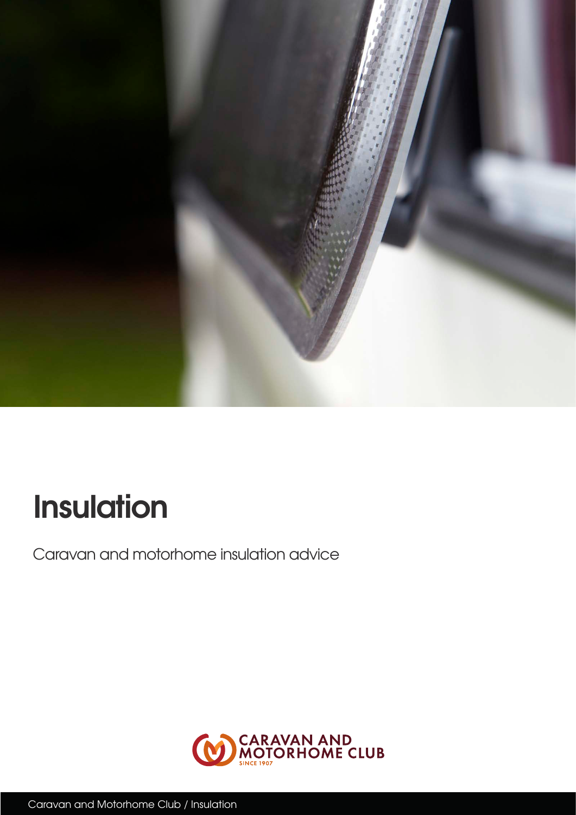

# **Insulation**

Caravan and motorhome insulation advice

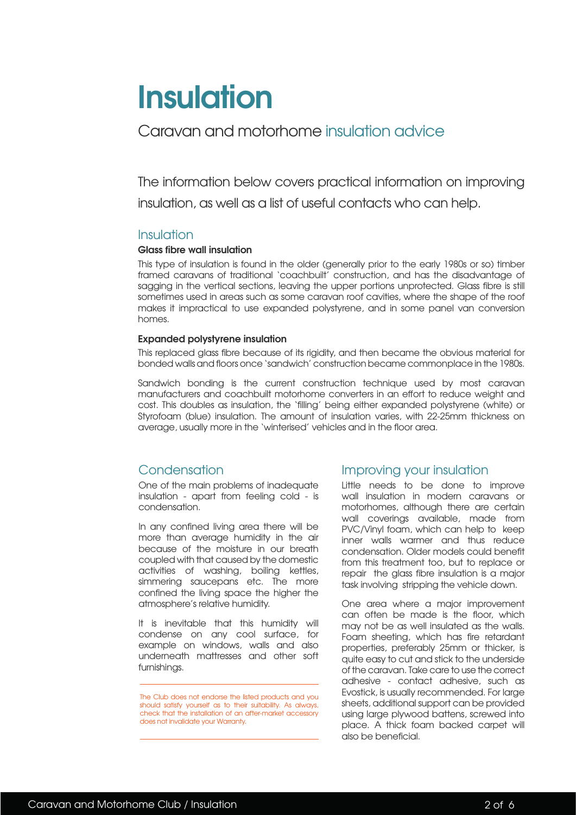# **Insulation**

## Caravan and motorhome insulation advice

The information below covers practical information on improving insulation, as well as a list of useful contacts who can help.

#### Insulation

#### **Glass fibre wall insulation**

This type of insulation is found in the older (generally prior to the early 1980s or so) timber framed caravans of traditional 'coachbuilt' construction, and has the disadvantage of sagging in the vertical sections, leaving the upper portions unprotected. Glass fibre is still sometimes used in areas such as some caravan roof cavities, where the shape of the roof makes it impractical to use expanded polystyrene, and in some panel van conversion homes.

#### **Expanded polystyrene insulation**

This replaced glass fibre because of its rigidity, and then became the obvious material for bonded walls and floors once 'sandwich' construction became commonplace in the 1980s.

Sandwich bonding is the current construction technique used by most caravan manufacturers and coachbuilt motorhome converters in an effort to reduce weight and cost. This doubles as insulation, the 'filling' being either expanded polystyrene (white) or Styrofoam (blue) insulation. The amount of insulation varies, with 22-25mm thickness on average, usually more in the 'winterised' vehicles and in the floor area.

## Condensation

One of the main problems of inadequate insulation - apart from feeling cold - is condensation.

In any confined living area there will be more than average humidity in the air because of the moisture in our breath coupled with that caused by the domestic activities of washing, boiling kettles, simmering saucepans etc. The more confined the living space the higher the atmosphere's relative humidity.

It is inevitable that this humidity will condense on any cool surface, for example on windows, walls and also underneath mattresses and other soft furnishings.

### Improving your insulation

Little needs to be done to improve wall insulation in modern caravans or motorhomes, although there are certain wall coverings available, made from PVC/Vinyl foam, which can help to keep inner walls warmer and thus reduce condensation. Older models could benefit from this treatment too, but to replace or repair the glass fibre insulation is a major task involving stripping the vehicle down.

One area where a major improvement can often be made is the floor, which may not be as well insulated as the walls. Foam sheeting, which has fire retardant properties, preferably 25mm or thicker, is quite easy to cut and stick to the underside of the caravan. Take care to use the correct adhesive - contact adhesive, such as Evostick, is usually recommended. For large sheets, additional support can be provided using large plywood battens, screwed into place. A thick foam backed carpet will also be beneficial.

The Club does not endorse the listed products and you should satisfy yourself as to their suitability. As always, check that the installation of an after-market accessory does not invalidate your Warranty.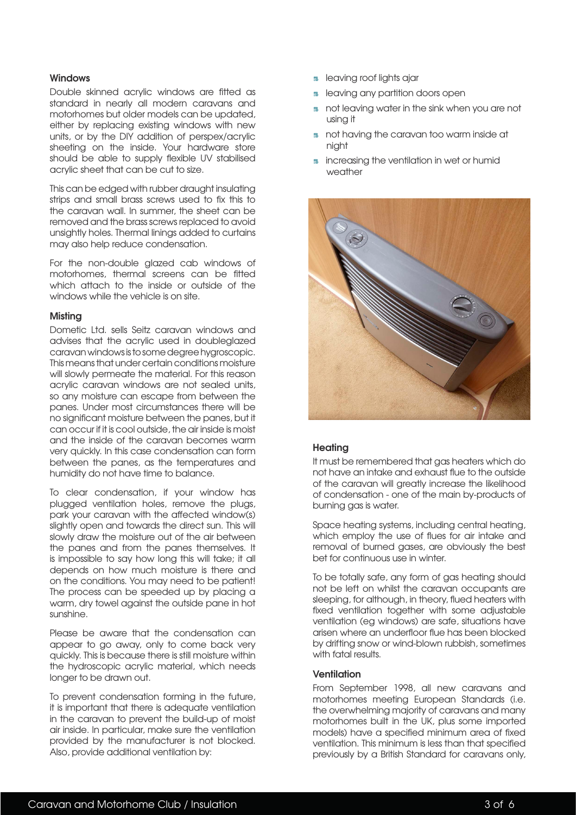#### **Windows**

Double skinned acrylic windows are fitted as standard in nearly all modern caravans and motorhomes but older models can be updated, either by replacing existing windows with new units, or by the DIY addition of perspex/acrylic sheeting on the inside. Your hardware store should be able to supply flexible UV stabilised acrylic sheet that can be cut to size.

This can be edged with rubber draught insulating strips and small brass screws used to fix this to the caravan wall. In summer, the sheet can be removed and the brass screws replaced to avoid unsightly holes. Thermal linings added to curtains may also help reduce condensation.

For the non-double glazed cab windows of motorhomes, thermal screens can be fitted which attach to the inside or outside of the windows while the vehicle is on site.

#### **Misting**

Dometic Ltd. sells Seitz caravan windows and advises that the acrylic used in doubleglazed caravan windows is to some degree hygroscopic. This means that under certain conditions moisture will slowly permeate the material. For this reason acrylic caravan windows are not sealed units, so any moisture can escape from between the panes. Under most circumstances there will be no significant moisture between the panes, but it can occur if it is cool outside, the air inside is moist and the inside of the caravan becomes warm very quickly. In this case condensation can form between the panes, as the temperatures and humidity do not have time to balance.

To clear condensation, if your window has plugged ventilation holes, remove the plugs, park your caravan with the affected window(s) slightly open and towards the direct sun. This will slowly draw the moisture out of the air between the panes and from the panes themselves. It is impossible to say how long this will take; it all depends on how much moisture is there and on the conditions. You may need to be patient! The process can be speeded up by placing a warm, dry towel against the outside pane in hot sunshine.

Please be aware that the condensation can appear to go away, only to come back very quickly. This is because there is still moisture within the hydroscopic acrylic material, which needs longer to be drawn out.

To prevent condensation forming in the future, it is important that there is adequate ventilation in the caravan to prevent the build-up of moist air inside. In particular, make sure the ventilation provided by the manufacturer is not blocked. Also, provide additional ventilation by:

- **6** leaving roof lights ajar
- **•** leaving any partition doors open
- **6** not leaving water in the sink when you are not using it
- **6** not having the caravan too warm inside at night
- $\blacksquare$  increasing the ventilation in wet or humid weather



#### **Heating**

It must be remembered that gas heaters which do not have an intake and exhaust flue to the outside of the caravan will greatly increase the likelihood of condensation - one of the main by-products of burning gas is water.

Space heating systems, including central heating, which employ the use of flues for air intake and removal of burned gases, are obviously the best bet for continuous use in winter.

To be totally safe, any form of gas heating should not be left on whilst the caravan occupants are sleeping, for although, in theory, flued heaters with fixed ventilation together with some adjustable ventilation (eg windows) are safe, situations have arisen where an underfloor flue has been blocked by drifting snow or wind-blown rubbish, sometimes with fatal results.

#### **Ventilation**

From September 1998, all new caravans and motorhomes meeting European Standards (i.e. the overwhelming majority of caravans and many motorhomes built in the UK, plus some imported models) have a specified minimum area of fixed ventilation. This minimum is less than that specified previously by a British Standard for caravans only,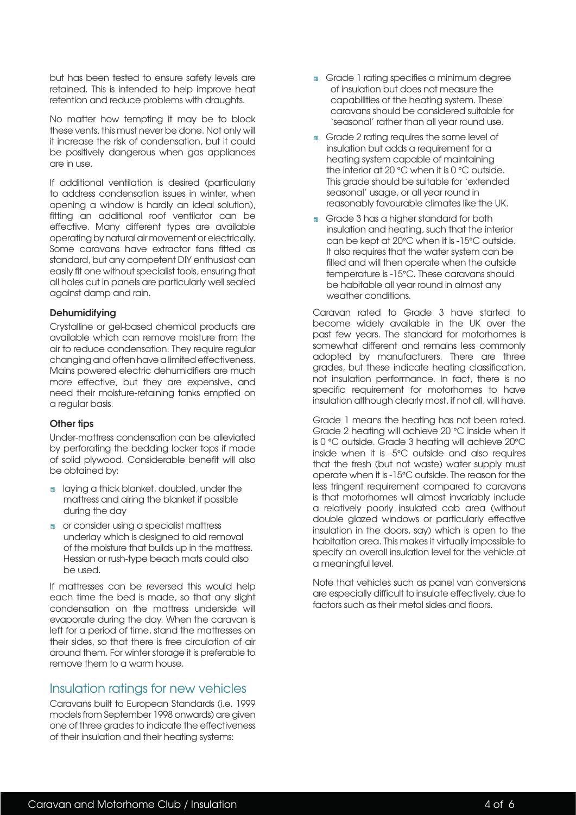but has been tested to ensure safety levels are retained. This is intended to help improve heat retention and reduce problems with draughts.

No matter how tempting it may be to block these vents, this must never be done. Not only will it increase the risk of condensation, but it could be positively dangerous when gas appliances are in use.

If additional ventilation is desired (particularly to address condensation issues in winter, when opening a window is hardly an ideal solution), fitting an additional roof ventilator can be effective. Many different types are available operating by natural air movement or electrically. Some caravans have extractor fans fitted as standard, but any competent DIY enthusiast can easily fit one without specialist tools, ensuring that all holes cut in panels are particularly well sealed against damp and rain.

#### **Dehumidifying**

Crystalline or gel-based chemical products are available which can remove moisture from the air to reduce condensation. They require regular changing and often have a limited effectiveness. Mains powered electric dehumidifiers are much more effective, but they are expensive, and need their moisture-retaining tanks emptied on a regular basis.

#### **Other tips**

Under-mattress condensation can be alleviated by perforating the bedding locker tops if made of solid plywood. Considerable benefit will also be obtained by:

- **B** laying a thick blanket, doubled, under the mattress and airing the blanket if possible during the day
- **6** or consider using a specialist mattress underlay which is designed to aid removal of the moisture that builds up in the mattress. Hessian or rush-type beach mats could also be used.

If mattresses can be reversed this would help each time the bed is made, so that any slight condensation on the mattress underside will evaporate during the day. When the caravan is left for a period of time, stand the mattresses on their sides, so that there is free circulation of air around them. For winter storage it is preferable to remove them to a warm house.

### Insulation ratings for new vehicles

Caravans built to European Standards (i.e. 1999 models from September 1998 onwards) are given one of three grades to indicate the effectiveness of their insulation and their heating systems:

- **6** Grade 1 rating specifies a minimum degree of insulation but does not measure the capabilities of the heating system. These caravans should be considered suitable for 'seasonal' rather than all year round use.
- **6** Grade 2 rating requires the same level of insulation but adds a requirement for a heating system capable of maintaining the interior at 20 °C when it is 0 °C outside. This grade should be suitable for 'extended seasonal' usage, or all year round in reasonably favourable climates like the UK.
- **6** Grade 3 has a higher standard for both insulation and heating, such that the interior can be kept at 20°C when it is -15°C outside. It also requires that the water system can be filled and will then operate when the outside temperature is -15°C. These caravans should be habitable all year round in almost any weather conditions.

Caravan rated to Grade 3 have started to become widely available in the UK over the past few years. The standard for motorhomes is somewhat different and remains less commonly adopted by manufacturers. There are three grades, but these indicate heating classification, not insulation performance. In fact, there is no specific requirement for motorhomes to have insulation although clearly most, if not all, will have.

Grade 1 means the heating has not been rated. Grade 2 heating will achieve 20 °C inside when it is 0 °C outside. Grade 3 heating will achieve 20°C inside when it is -5°C outside and also requires that the fresh (but not waste) water supply must operate when it is -15°C outside. The reason for the less tringent requirement compared to caravans is that motorhomes will almost invariably include a relatively poorly insulated cab area (without double glazed windows or particularly effective insulation in the doors, say) which is open to the habitation area. This makes it virtually impossible to specify an overall insulation level for the vehicle at a meaningful level.

Note that vehicles such as panel van conversions are especially difficult to insulate effectively, due to factors such as their metal sides and floors.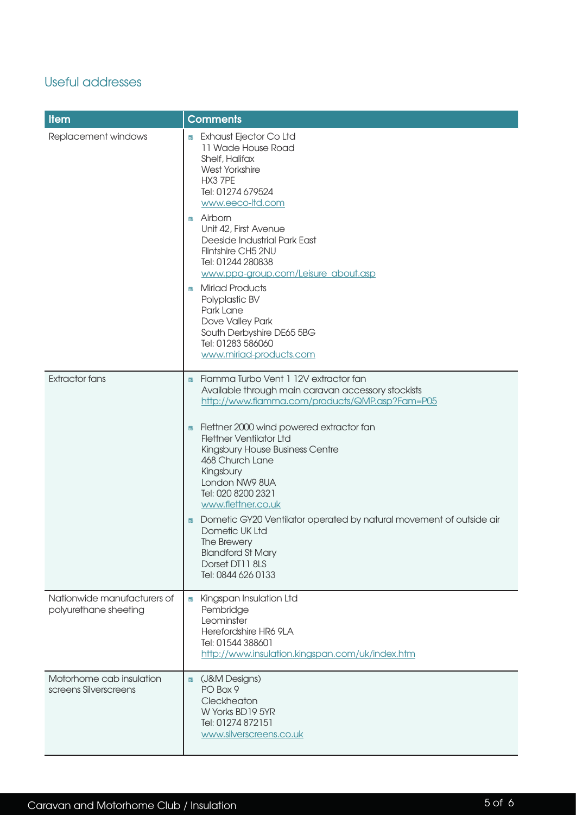## Useful addresses

| <b>Item</b>                                          | <b>Comments</b>                                                                                                                                                                                                    |
|------------------------------------------------------|--------------------------------------------------------------------------------------------------------------------------------------------------------------------------------------------------------------------|
| Replacement windows                                  | Exhaust Ejector Co Ltd<br>ic.<br>11 Wade House Road<br>Shelf, Halifax<br><b>West Yorkshire</b><br>HX3 7PE<br>Tel: 01274 679524<br>www.eeco-ltd.com                                                                 |
|                                                      | Airborn<br><b>To</b><br>Unit 42, First Avenue<br>Deeside Industrial Park East<br>Flintshire CH5 2NU<br>Tel: 01244 280838<br>www.ppa-group.com/Leisure_about.asp                                                    |
|                                                      | <b>Miriad Products</b><br>Ē6<br>Polyplastic BV<br>Park Lane<br>Dove Valley Park<br>South Derbyshire DE65 5BG<br>Tel: 01283 586060<br>www.miriad-products.com                                                       |
| <b>Extractor fans</b>                                | Fiamma Turbo Vent 1 12V extractor fan<br>EG.                                                                                                                                                                       |
|                                                      | Available through main caravan accessory stockists<br>http://www.fiamma.com/products/QMP.asp?Fam=P05                                                                                                               |
|                                                      | Flettner 2000 wind powered extractor fan<br>EG.<br><b>Flettner Ventilator Ltd</b><br>Kingsbury House Business Centre<br>468 Church Lane<br>Kingsbury<br>London NW9 8UA<br>Tel: 020 8200 2321<br>www.flettner.co.uk |
|                                                      | Dometic GY20 Ventilator operated by natural movement of outside air<br>io<br>Dometic UK Ltd<br>The Brewery<br><b>Blandford St Mary</b><br>Dorset DT11 8LS<br>Tel: 0844 626 0133                                    |
| Nationwide manufacturers of<br>polyurethane sheeting | Kingspan Insulation Ltd<br>Ē.<br>Pembridge<br>Leominster<br>Herefordshire HR6 9LA<br>Tel: 01544 388601<br>http://www.insulation.kingspan.com/uk/index.htm                                                          |
| Motorhome cab insulation<br>screens Silverscreens    | (J&M Designs)<br>EG.<br>PO Box 9<br>Cleckheaton<br>W Yorks BD19 5YR<br>Tel: 01274 872151<br>www.silverscreens.co.uk                                                                                                |